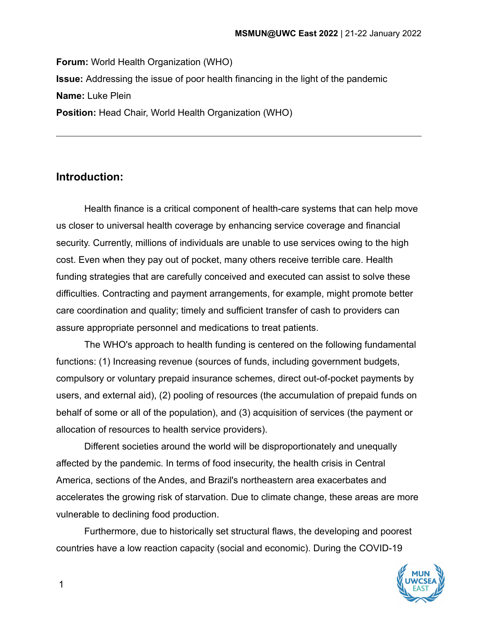**Forum:** World Health Organization (WHO) **Issue:** Addressing the issue of poor health financing in the light of the pandemic **Name:** Luke Plein **Position:** Head Chair, World Health Organization (WHO)

## **Introduction:**

Health finance is a critical component of health-care systems that can help move us closer to universal health coverage by enhancing service coverage and financial security. Currently, millions of individuals are unable to use services owing to the high cost. Even when they pay out of pocket, many others receive terrible care. Health funding strategies that are carefully conceived and executed can assist to solve these difficulties. Contracting and payment arrangements, for example, might promote better care coordination and quality; timely and sufficient transfer of cash to providers can assure appropriate personnel and medications to treat patients.

The WHO's approach to health funding is centered on the following fundamental functions: (1) Increasing revenue (sources of funds, including government budgets, compulsory or voluntary prepaid insurance schemes, direct out-of-pocket payments by users, and external aid), (2) pooling of resources (the accumulation of prepaid funds on behalf of some or all of the population), and (3) acquisition of services (the payment or allocation of resources to health service providers).

Different societies around the world will be disproportionately and unequally affected by the pandemic. In terms of food insecurity, the health crisis in Central America, sections of the Andes, and Brazil's northeastern area exacerbates and accelerates the growing risk of starvation. Due to climate change, these areas are more vulnerable to declining food production.

Furthermore, due to historically set structural flaws, the developing and poorest countries have a low reaction capacity (social and economic). During the COVID-19



1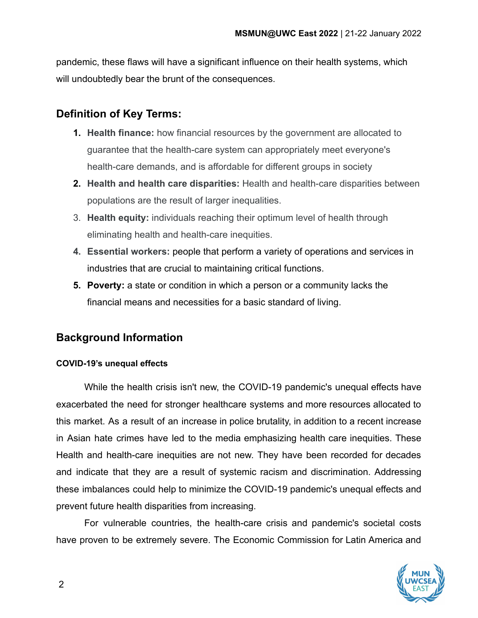pandemic, these flaws will have a significant influence on their health systems, which will undoubtedly bear the brunt of the consequences.

## **Definition of Key Terms:**

- **1. Health finance:** how financial resources by the government are allocated to guarantee that the health-care system can appropriately meet everyone's health-care demands, and is affordable for different groups in society
- **2. Health and health care disparities:** Health and health-care disparities between populations are the result of larger inequalities.
- 3. **Health equity:** individuals reaching their optimum level of health through eliminating health and health-care inequities.
- **4. Essential workers:** people that perform a variety of operations and services in industries that are crucial to maintaining critical functions.
- **5. Poverty:** a state or condition in which a person or a community lacks the financial means and necessities for a basic standard of living.

## **Background Information**

### **COVID-19's unequal effects**

While the health crisis isn't new, the COVID-19 pandemic's unequal effects have exacerbated the need for stronger healthcare systems and more resources allocated to this market. As a result of an increase in police brutality, in addition to a recent increase in Asian hate crimes have led to the media emphasizing health care inequities. These Health and health-care inequities are not new. They have been recorded for decades and indicate that they are a result of systemic racism and discrimination. Addressing these imbalances could help to minimize the COVID-19 pandemic's unequal effects and prevent future health disparities from increasing.

For vulnerable countries, the health-care crisis and pandemic's societal costs have proven to be extremely severe. The Economic Commission for Latin America and

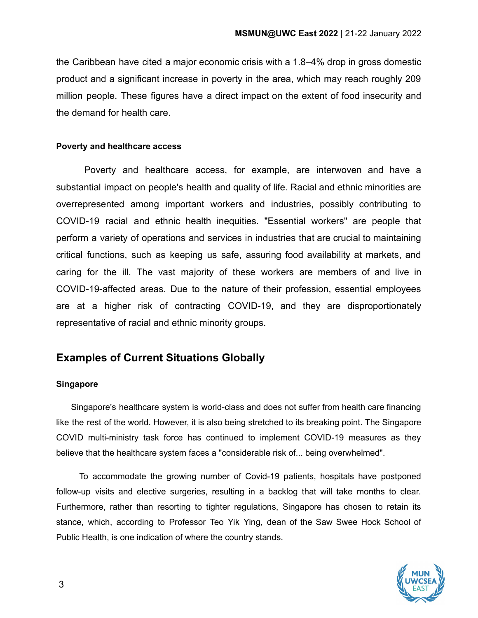the Caribbean have cited a major economic crisis with a 1.8–4% drop in gross domestic product and a significant increase in poverty in the area, which may reach roughly 209 million people. These figures have a direct impact on the extent of food insecurity and the demand for health care.

### **Poverty and healthcare access**

Poverty and healthcare access, for example, are interwoven and have a substantial impact on people's health and quality of life. Racial and ethnic minorities are overrepresented among important workers and industries, possibly contributing to COVID-19 racial and ethnic health inequities. "Essential workers" are people that perform a variety of operations and services in industries that are crucial to maintaining critical functions, such as keeping us safe, assuring food availability at markets, and caring for the ill. The vast majority of these workers are members of and live in COVID-19-affected areas. Due to the nature of their profession, essential employees are at a higher risk of contracting COVID-19, and they are disproportionately representative of racial and ethnic minority groups.

## **Examples of Current Situations Globally**

### **Singapore**

Singapore's healthcare system is world-class and does not suffer from health care financing like the rest of the world. However, it is also being stretched to its breaking point. The Singapore COVID multi-ministry task force has continued to implement COVID-19 measures as they believe that the healthcare system faces a "considerable risk of... being overwhelmed".

To accommodate the growing number of Covid-19 patients, hospitals have postponed follow-up visits and elective surgeries, resulting in a backlog that will take months to clear. Furthermore, rather than resorting to tighter regulations, Singapore has chosen to retain its stance, which, according to Professor Teo Yik Ying, dean of the Saw Swee Hock School of Public Health, is one indication of where the country stands.

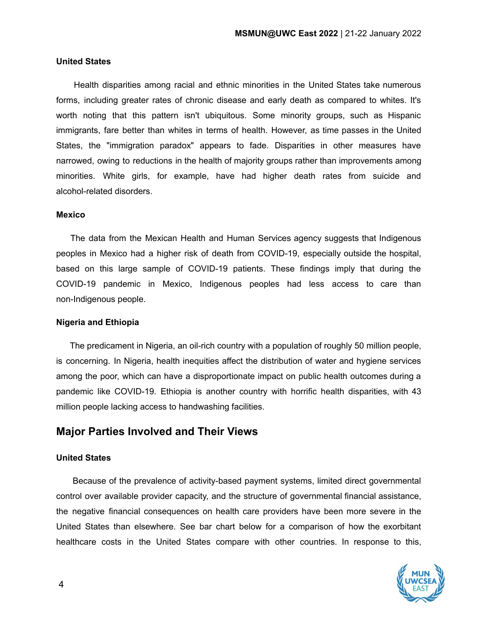### **United States**

Health disparities among racial and ethnic minorities in the United States take numerous forms, including greater rates of chronic disease and early death as compared to whites. It's worth noting that this pattern isn't ubiquitous. Some minority groups, such as Hispanic immigrants, fare better than whites in terms of health. However, as time passes in the United States, the "immigration paradox" appears to fade. Disparities in other measures have narrowed, owing to reductions in the health of majority groups rather than improvements among minorities. White girls, for example, have had higher death rates from suicide and alcohol-related disorders.

### **Mexico**

The data from the Mexican Health and Human Services agency suggests that Indigenous peoples in Mexico had a higher risk of death from COVID-19, especially outside the hospital, based on this large sample of COVID-19 patients. These findings imply that during the COVID-19 pandemic in Mexico, Indigenous peoples had less access to care than non-Indigenous people.

### **Nigeria and Ethiopia**

The predicament in Nigeria, an oil-rich country with a population of roughly 50 million people, is concerning. In Nigeria, health inequities affect the distribution of water and hygiene services among the poor, which can have a disproportionate impact on public health outcomes during a pandemic like COVID-19. Ethiopia is another country with horrific health disparities, with 43 million people lacking access to handwashing facilities.

### **Major Parties Involved and Their Views**

### **United States**

Because of the prevalence of activity-based payment systems, limited direct governmental control over available provider capacity, and the structure of governmental financial assistance, the negative financial consequences on health care providers have been more severe in the United States than elsewhere. See bar chart below for a comparison of how the exorbitant healthcare costs in the United States compare with other countries. In response to this,

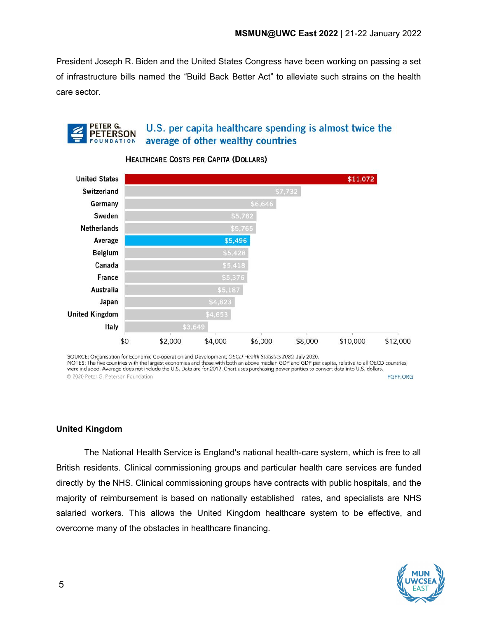President Joseph R. Biden and the United States Congress have been working on passing a set of infrastructure bills named the "Build Back Better Act" to alleviate such strains on the health care sector.

#### PETER G. U.S. per capita healthcare spending is almost twice the **PETERSON** average of other wealthy countries **OUNDATION**



### **HEALTHCARE COSTS PER CAPITA (DOLLARS)**

SOURCE: Organisation for Economic Co-operation and Development, OECD Health Statistics 2020, July 2020. NOTES: The five countries with the largest economies and those with both an above median GDP and GDP per capita, relative to all OECD countries, were included. Average does not include the U.S. Data are for 2019. Chart uses purchasing power parities to convert data into U.S. dollars. C 2020 Peter G. Peterson Foundation PGPF.ORG

### **United Kingdom**

The National Health Service is England's national health-care system, which is free to all British residents. Clinical commissioning groups and particular health care services are funded directly by the NHS. Clinical commissioning groups have contracts with public hospitals, and the majority of reimbursement is based on nationally established rates, and specialists are NHS salaried workers. This allows the United Kingdom healthcare system to be effective, and overcome many of the obstacles in healthcare financing.

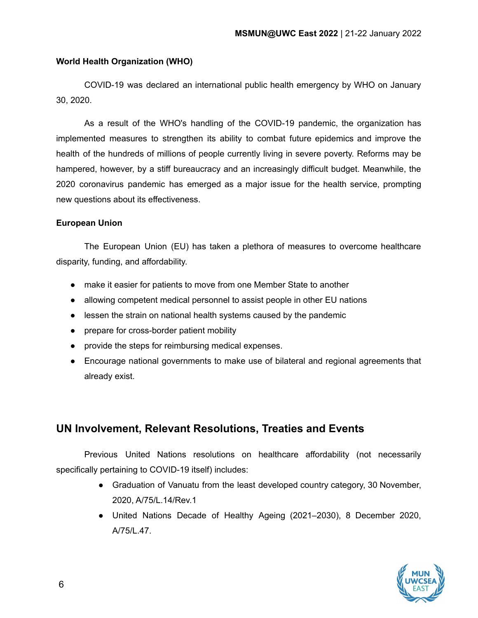### **World Health Organization (WHO)**

COVID-19 was declared an international public health emergency by WHO on January 30, 2020.

As a result of the WHO's handling of the COVID-19 pandemic, the organization has implemented measures to strengthen its ability to combat future epidemics and improve the health of the hundreds of millions of people currently living in severe poverty. Reforms may be hampered, however, by a stiff bureaucracy and an increasingly difficult budget. Meanwhile, the 2020 coronavirus pandemic has emerged as a major issue for the health service, prompting new questions about its effectiveness.

### **European Union**

The European Union (EU) has taken a plethora of measures to overcome healthcare disparity, funding, and affordability.

- make it easier for patients to move from one Member State to another
- allowing competent medical personnel to assist people in other EU nations
- lessen the strain on national health systems caused by the pandemic
- prepare for cross-border patient mobility
- provide the steps for reimbursing medical expenses.
- Encourage national governments to make use of bilateral and regional agreements that already exist.

## **UN Involvement, Relevant Resolutions, Treaties and Events**

Previous United Nations resolutions on healthcare affordability (not necessarily specifically pertaining to COVID-19 itself) includes:

- Graduation of Vanuatu from the least developed country category, 30 November, 2020, A/75/L.14/Rev.1
- United Nations Decade of Healthy Ageing (2021–2030), 8 December 2020, A/75/L.47.

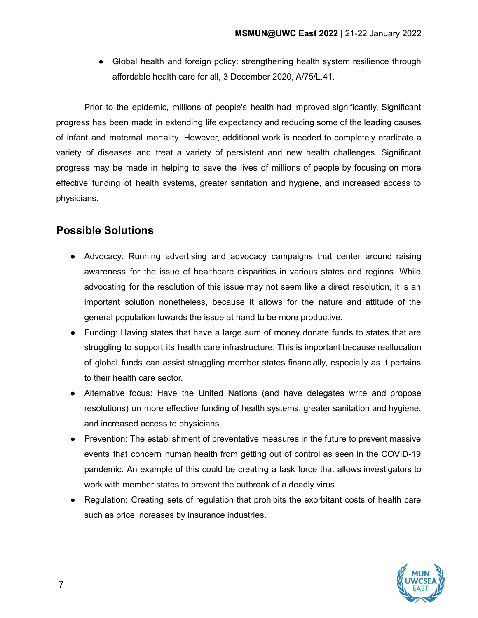● Global health and foreign policy: strengthening health system resilience through affordable health care for all, 3 December 2020, A/75/L.41.

Prior to the epidemic, millions of people's health had improved significantly. Significant progress has been made in extending life expectancy and reducing some of the leading causes of infant and maternal mortality. However, additional work is needed to completely eradicate a variety of diseases and treat a variety of persistent and new health challenges. Significant progress may be made in helping to save the lives of millions of people by focusing on more effective funding of health systems, greater sanitation and hygiene, and increased access to physicians.

## **Possible Solutions**

- Advocacy: Running advertising and advocacy campaigns that center around raising awareness for the issue of healthcare disparities in various states and regions. While advocating for the resolution of this issue may not seem like a direct resolution, it is an important solution nonetheless, because it allows for the nature and attitude of the general population towards the issue at hand to be more productive.
- Funding: Having states that have a large sum of money donate funds to states that are struggling to support its health care infrastructure. This is important because reallocation of global funds can assist struggling member states financially, especially as it pertains to their health care sector.
- Alternative focus: Have the United Nations (and have delegates write and propose resolutions) on more effective funding of health systems, greater sanitation and hygiene, and increased access to physicians.
- Prevention: The establishment of preventative measures in the future to prevent massive events that concern human health from getting out of control as seen in the COVID-19 pandemic. An example of this could be creating a task force that allows investigators to work with member states to prevent the outbreak of a deadly virus.
- Regulation: Creating sets of regulation that prohibits the exorbitant costs of health care such as price increases by insurance industries.

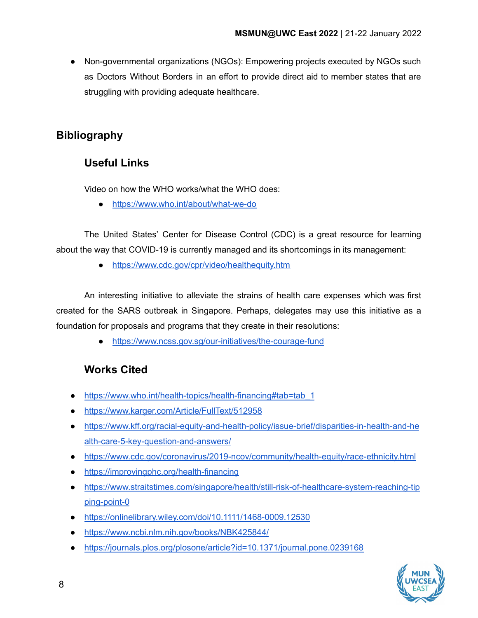● Non-governmental organizations (NGOs): Empowering projects executed by NGOs such as Doctors Without Borders in an effort to provide direct aid to member states that are struggling with providing adequate healthcare.

# **Bibliography**

# **Useful Links**

Video on how the WHO works/what the WHO does:

● <https://www.who.int/about/what-we-do>

The United States' Center for Disease Control (CDC) is a great resource for learning about the way that COVID-19 is currently managed and its shortcomings in its management:

● <https://www.cdc.gov/cpr/video/healthequity.htm>

An interesting initiative to alleviate the strains of health care expenses which was first created for the SARS outbreak in Singapore. Perhaps, delegates may use this initiative as a foundation for proposals and programs that they create in their resolutions:

● <https://www.ncss.gov.sg/our-initiatives/the-courage-fund>

# **Works Cited**

- [https://www.who.int/health-topics/health-financing#tab=tab\\_1](https://www.who.int/health-topics/health-financing#tab=tab_1)
- <https://www.karger.com/Article/FullText/512958>
- [https://www.kff.org/racial-equity-and-health-policy/issue-brief/disparities-in-health-and-he](https://www.kff.org/racial-equity-and-health-policy/issue-brief/disparities-in-health-and-health-care-5-key-question-and-answers/) [alth-care-5-key-question-and-answers/](https://www.kff.org/racial-equity-and-health-policy/issue-brief/disparities-in-health-and-health-care-5-key-question-and-answers/)
- <https://www.cdc.gov/coronavirus/2019-ncov/community/health-equity/race-ethnicity.html>
- <https://improvingphc.org/health-financing>
- [https://www.straitstimes.com/singapore/health/still-risk-of-healthcare-system-reaching-tip](https://www.straitstimes.com/singapore/health/still-risk-of-healthcare-system-reaching-tipping-point-0) [ping-point-0](https://www.straitstimes.com/singapore/health/still-risk-of-healthcare-system-reaching-tipping-point-0)
- <https://onlinelibrary.wiley.com/doi/10.1111/1468-0009.12530>
- <https://www.ncbi.nlm.nih.gov/books/NBK425844/>
- <https://journals.plos.org/plosone/article?id=10.1371/journal.pone.0239168>